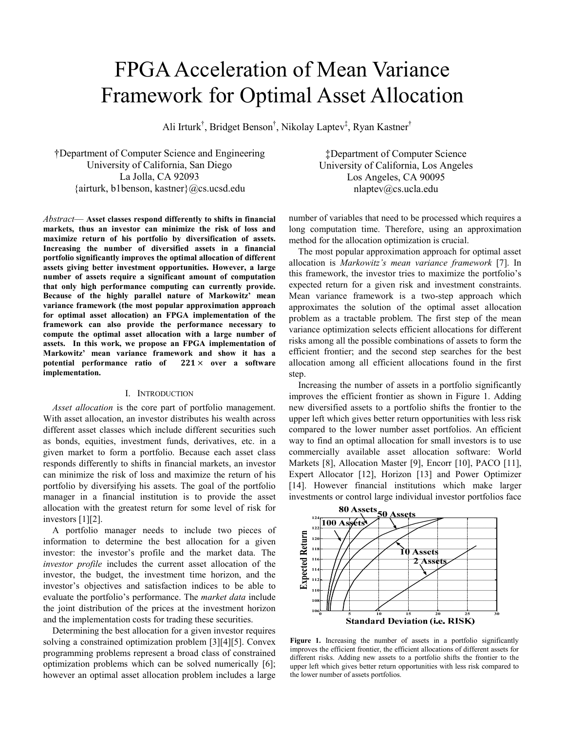# FPGA Acceleration of Mean Variance Framework for Optimal Asset Allocation

Ali Irturk<sup>†</sup>, Bridget Benson<sup>†</sup>, Nikolay Laptev<sup>‡</sup>, Ryan Kastner<sup>†</sup>

†Department of Computer Science and Engineering University of California, San Diego La Jolla, CA 92093 {airturk, b1benson, kastner}@cs.ucsd.edu

*Abstract*— **Asset classes respond differently to shifts in financial markets, thus an investor can minimize the risk of loss and maximize return of his portfolio by diversification of assets. Increasing the number of diversified assets in a financial portfolio significantly improves the optimal allocation of different assets giving better investment opportunities. However, a large number of assets require a significant amount of computation that only high performance computing can currently provide. Because of the highly parallel nature of Markowitz' mean variance framework (the most popular approximation approach for optimal asset allocation) an FPGA implementation of the framework can also provide the performance necessary to compute the optimal asset allocation with a large number of assets. In this work, we propose an FPGA implementation of Markowitz' mean variance framework and show it has a**  potential performance ratio of  $221 \times$  over a software **implementation.** 

#### I. INTRODUCTION

*Asset allocation* is the core part of portfolio management. With asset allocation, an investor distributes his wealth across different asset classes which include different securities such as bonds, equities, investment funds, derivatives, etc. in a given market to form a portfolio. Because each asset class responds differently to shifts in financial markets, an investor can minimize the risk of loss and maximize the return of his portfolio by diversifying his assets. The goal of the portfolio manager in a financial institution is to provide the asset allocation with the greatest return for some level of risk for investors [1][2].

A portfolio manager needs to include two pieces of information to determine the best allocation for a given investor: the investor's profile and the market data. The *investor profile* includes the current asset allocation of the investor, the budget, the investment time horizon, and the investor's objectives and satisfaction indices to be able to evaluate the portfolio's performance. The *market data* include the joint distribution of the prices at the investment horizon and the implementation costs for trading these securities.

Determining the best allocation for a given investor requires solving a constrained optimization problem [3][4][5]. Convex programming problems represent a broad class of constrained optimization problems which can be solved numerically [6]; however an optimal asset allocation problem includes a large

‡Department of Computer Science University of California, Los Angeles Los Angeles, CA 90095 nlaptev@cs.ucla.edu

number of variables that need to be processed which requires a long computation time. Therefore, using an approximation method for the allocation optimization is crucial.

The most popular approximation approach for optimal asset allocation is *Markowitz's mean variance framework* [7]. In this framework, the investor tries to maximize the portfolio's expected return for a given risk and investment constraints. Mean variance framework is a two-step approach which approximates the solution of the optimal asset allocation problem as a tractable problem. The first step of the mean variance optimization selects efficient allocations for different risks among all the possible combinations of assets to form the efficient frontier; and the second step searches for the best allocation among all efficient allocations found in the first step.

Increasing the number of assets in a portfolio significantly improves the efficient frontier as shown in Figure 1. Adding new diversified assets to a portfolio shifts the frontier to the upper left which gives better return opportunities with less risk compared to the lower number asset portfolios. An efficient way to find an optimal allocation for small investors is to use commercially available asset allocation software: World Markets [8], Allocation Master [9], Encorr [10], PACO [11], Expert Allocator [12], Horizon [13] and Power Optimizer [14]. However financial institutions which make larger investments or control large individual investor portfolios face



Figure 1. Increasing the number of assets in a portfolio significantly improves the efficient frontier, the efficient allocations of different assets for different risks. Adding new assets to a portfolio shifts the frontier to the upper left which gives better return opportunities with less risk compared to the lower number of assets portfolios.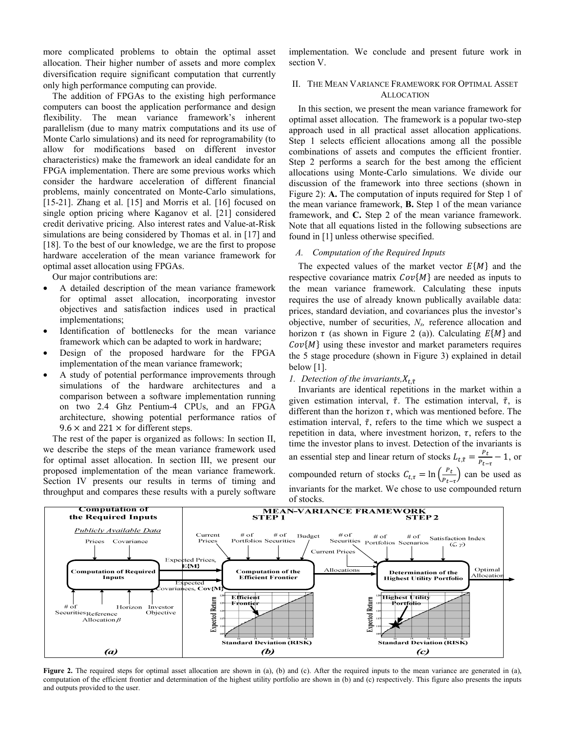more complicated problems to obtain the optimal asset allocation. Their higher number of assets and more complex diversification require significant computation that currently only high performance computing can provide.

The addition of FPGAs to the existing high performance computers can boost the application performance and design flexibility. The mean variance framework's inherent parallelism (due to many matrix computations and its use of Monte Carlo simulations) and its need for reprogramability (to allow for modifications based on different investor characteristics) make the framework an ideal candidate for an FPGA implementation. There are some previous works which consider the hardware acceleration of different financial problems, mainly concentrated on Monte-Carlo simulations, [15-21]. Zhang et al. [15] and Morris et al. [16] focused on single option pricing where Kaganov et al. [21] considered credit derivative pricing. Also interest rates and Value-at-Risk simulations are being considered by Thomas et al. in [17] and [18]. To the best of our knowledge, we are the first to propose hardware acceleration of the mean variance framework for optimal asset allocation using FPGAs.

Our major contributions are:

- A detailed description of the mean variance framework for optimal asset allocation, incorporating investor objectives and satisfaction indices used in practical implementations;
- Identification of bottlenecks for the mean variance framework which can be adapted to work in hardware;
- Design of the proposed hardware for the FPGA implementation of the mean variance framework;
- A study of potential performance improvements through simulations of the hardware architectures and a comparison between a software implementation running on two 2.4 Ghz Pentium-4 CPUs, and an FPGA architecture, showing potential performance ratios of  $9.6 \times$  and 221  $\times$  for different steps.

The rest of the paper is organized as follows: In section II, we describe the steps of the mean variance framework used for optimal asset allocation. In section III, we present our proposed implementation of the mean variance framework. Section IV presents our results in terms of timing and throughput and compares these results with a purely software

implementation. We conclude and present future work in section V.

## II. THE MEAN VARIANCE FRAMEWORK FOR OPTIMAL ASSET ALLOCATION

In this section, we present the mean variance framework for optimal asset allocation. The framework is a popular two-step approach used in all practical asset allocation applications. Step 1 selects efficient allocations among all the possible combinations of assets and computes the efficient frontier. Step 2 performs a search for the best among the efficient allocations using Monte-Carlo simulations. We divide our discussion of the framework into three sections (shown in Figure 2): **A.** The computation of inputs required for Step 1 of the mean variance framework, **B.** Step 1 of the mean variance framework, and **C.** Step 2 of the mean variance framework. Note that all equations listed in the following subsections are found in [1] unless otherwise specified.

# *A. Computation of the Required Inputs*

The expected values of the market vector  $E\{M\}$  and the respective covariance matrix  $Cov{M}$  are needed as inputs to the mean variance framework. Calculating these inputs requires the use of already known publically available data: prices, standard deviation, and covariances plus the investor's objective, number of securities, *Ns,* reference allocation and horizon  $\tau$  (as shown in Figure 2 (a)). Calculating  $E\{M\}$  and  $Cov{M}$  using these investor and market parameters requires the 5 stage procedure (shown in Figure 3) explained in detail below  $[1]$ .

# *1. Detection of the invariants*,  $X_{t, \tilde{\tau}}$

Invariants are identical repetitions in the market within a given estimation interval,  $\tilde{\tau}$ . The estimation interval,  $\tilde{\tau}$ , is different than the horizon  $\tau$ , which was mentioned before. The estimation interval,  $\tilde{\tau}$ , refers to the time which we suspect a repetition in data, where investment horizon,  $\tau$ , refers to the time the investor plans to invest. Detection of the invariants is an essential step and linear return of stocks  $L_{t,\tilde{\tau}} = \frac{P_t}{P_{t-\tau}} - 1$ , or compounded return of stocks  $C_{t,\tau} = \ln\left(\frac{P_t}{P_{t-\tau}}\right)$  can be used as invariants for the market. We chose to use compounded return of stocks.



**Figure 2.** The required steps for optimal asset allocation are shown in (a), (b) and (c). After the required inputs to the mean variance are generated in (a), computation of the efficient frontier and determination of the highest utility portfolio are shown in (b) and (c) respectively. This figure also presents the inputs and outputs provided to the user.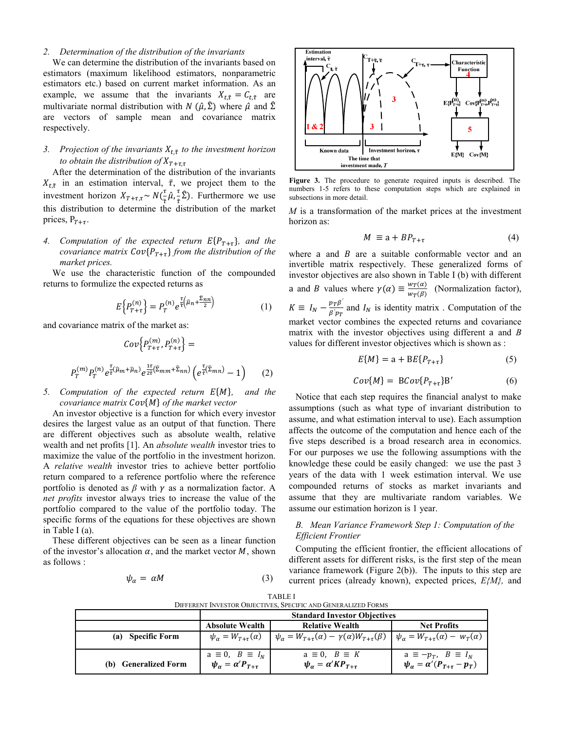#### *2. Determination of the distribution of the invariants*

We can determine the distribution of the invariants based on estimators (maximum likelihood estimators, nonparametric estimators etc.) based on current market information. As an example, we assume that the invariants  $X_{t,\tilde{\tau}} = C_{t,\tilde{\tau}}$  are multivariate normal distribution with  $N(\hat{\mu}, \hat{\Sigma})$  where  $\hat{\mu}$  and  $\hat{\Sigma}$ are vectors of sample mean and covariance matrix respectively.

# *3. Projection of the invariants*  $X_{t,\tilde{\tau}}$  *to the investment horizon to obtain the distribution of*  $X_{T+\tau,\tau}$

After the determination of the distribution of the invariants  $X_{t,\tilde{\tau}}$  in an estimation interval,  $\tilde{\tau}$ , we project them to the investment horizon  $X_{T+\tau,\tau} \sim N(\frac{\tau}{\tilde{\tau}}\hat{\mu}, \frac{\tau}{\tilde{\tau}})$  $\frac{\tau}{\tilde{\tau}}\hat{\Sigma}$ ). Furthermore we use this distribution to determine the distribution of the market prices,  $P_{\tau+\tau}$ .

# *4. Computation of the expected return*  $E\{P_{T+\tau}\}\$ *, and the covariance matrix Cov* ${P_{T+\tau}}$ *from the distribution of the market prices.*

We use the characteristic function of the compounded returns to formulize the expected returns as

$$
E\left\{P_{T+\tau}^{(n)}\right\} = P_T^{(n)} e^{\frac{\tau}{\tilde{\tau}}\left(\tilde{\mu}_n + \frac{\tilde{\Sigma}_{nn}}{2}\right)}\tag{1}
$$

and covariance matrix of the market as:

$$
Cov\left\{P_{T+\tau}^{(m)}, P_{T+\tau}^{(n)}\right\} =
$$

$$
P_T^{(m)} P_T^{(n)} e^{\frac{\tau}{\tau}(\hat{\mu}_m + \hat{\mu}_n)} e^{\frac{1\tau}{2\tau}(\hat{\Sigma}_{mm} + \hat{\Sigma}_{nn})} \left(e^{\frac{\tau}{\tau}(\hat{\Sigma}_{mn})} - 1\right)
$$
(2)

# *5. Computation of the expected return*  $E{M}$ *, and the*  $covariance$  matrix  $Cov{M}$  of the market vector

An investor objective is a function for which every investor desires the largest value as an output of that function. There are different objectives such as absolute wealth, relative wealth and net profits [1]. An *absolute wealth* investor tries to maximize the value of the portfolio in the investment horizon. A *relative wealth* investor tries to achieve better portfolio return compared to a reference portfolio where the reference portfolio is denoted as  $\beta$  with  $\gamma$  as a normalization factor. A *net profits* investor always tries to increase the value of the portfolio compared to the value of the portfolio today. The specific forms of the equations for these objectives are shown in Table I (a).

These different objectives can be seen as a linear function of the investor's allocation  $\alpha$ , and the market vector  $M$ , shown as follows :

$$
\psi_{\alpha} = \alpha M \tag{3}
$$



**Figure 3.** The procedure to generate required inputs is described. The numbers 1-5 refers to these computation steps which are explained in subsections in more detail.

*M* is a transformation of the market prices at the investment horizon as:

$$
M \equiv a + BP_{T+\tau} \tag{4}
$$

where a and  $B$  are a suitable conformable vector and an invertible matrix respectively. These generalized forms of investor objectives are also shown in Table I (b) with different a and *B* values where  $\gamma(\alpha) \equiv \frac{w_T(\alpha)}{w_T(\beta)}$  (Normalization factor),  $K \equiv I_N - \frac{p_T \beta'}{\beta' p_T}$  and  $I_N$  is identity matrix . Computation of the market vector combines the expected returns and covariance matrix with the investor objectives using different a and *B* values for different investor objectives which is shown as :

$$
E\{M\} = a + BE\{P_{T+\tau}\}\tag{5}
$$

$$
Cov{M} = BCov{P_{T+\tau}}B'
$$
 (6)

Notice that each step requires the financial analyst to make assumptions (such as what type of invariant distribution to assume, and what estimation interval to use). Each assumption affects the outcome of the computation and hence each of the five steps described is a broad research area in economics. For our purposes we use the following assumptions with the knowledge these could be easily changed: we use the past 3 years of the data with 1 week estimation interval. We use compounded returns of stocks as market invariants and assume that they are multivariate random variables. We assume our estimation horizon is 1 year.

#### *B. Mean Variance Framework Step 1: Computation of the Efficient Frontier*

Computing the efficient frontier, the efficient allocations of different assets for different risks, is the first step of the mean variance framework (Figure 2(b)). The inputs to this step are current prices (already known), expected prices, *E{M},* and

| <b>TABLE I</b>                                                |  |
|---------------------------------------------------------------|--|
| DIFFERENT INVESTOR OBJECTIVES. SPECIFIC AND GENERALIZED FORMS |  |
|                                                               |  |

|                                | <b>Standard Investor Objectives</b>                                      |                                                                                                                                        |                                                                               |  |
|--------------------------------|--------------------------------------------------------------------------|----------------------------------------------------------------------------------------------------------------------------------------|-------------------------------------------------------------------------------|--|
|                                | <b>Absolute Wealth</b>                                                   | <b>Relative Wealth</b>                                                                                                                 | <b>Net Profits</b>                                                            |  |
| <b>Specific Form</b><br>(a)    | $\psi_{\alpha} = W_{T+\tau}(\alpha)$                                     | $\left  \psi_{\alpha} = W_{T+\tau}(\alpha) - \gamma(\alpha)W_{T+\tau}(\beta) \right  \psi_{\alpha} = W_{T+\tau}(\alpha) - w_T(\alpha)$ |                                                                               |  |
| <b>Generalized Form</b><br>(b) | $a \equiv 0, \quad B \equiv I_N$<br>$\psi_{\alpha} = \alpha' P_{T+\tau}$ | $a \equiv 0$ , $B \equiv K$<br>$\psi_{\alpha} = \alpha' K P_{T+\tau}$                                                                  | a $\equiv -p_T$ , $B \equiv I_N$<br>$\psi_\alpha = \alpha'(P_{T+\tau} - p_T)$ |  |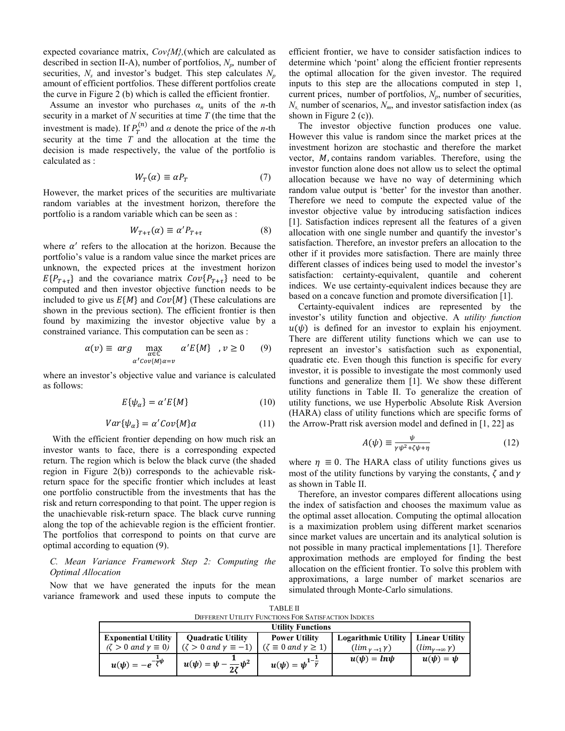expected covariance matrix, *Cov{M},*(which are calculated as described in section II-A), number of portfolios,  $N_p$ , number of securities,  $N_s$  and investor's budget. This step calculates  $N_p$ amount of efficient portfolios. These different portfolios create the curve in Figure 2 (b) which is called the efficient frontier.

Assume an investor who purchases  $\alpha_n$  units of the *n*-th security in a market of *N* securities at time *T* (the time that the investment is made). If  $P_T^{(n)}$  and  $\alpha$  denote the price of the *n*-th security at the time *T* and the allocation at the time the decision is made respectively, the value of the portfolio is calculated as :

$$
W_T(\alpha) \equiv \alpha P_T \tag{7}
$$

However, the market prices of the securities are multivariate random variables at the investment horizon, therefore the portfolio is a random variable which can be seen as :

$$
W_{T+\tau}(\alpha) \equiv \alpha' P_{T+\tau} \tag{8}
$$

where  $\alpha'$  refers to the allocation at the horizon. Because the portfolio's value is a random value since the market prices are unknown, the expected prices at the investment horizon  $E\{P_{T+\tau}\}\$  and the covariance matrix  $Cov\{P_{T+\tau}\}\$  need to be computed and then investor objective function needs to be included to give us  $E\{M\}$  and  $Cov\{M\}$  (These calculations are shown in the previous section). The efficient frontier is then found by maximizing the investor objective value by a constrained variance. This computation can be seen as :

$$
\alpha(v) \equiv \arg \max_{\substack{\alpha \in \mathbb{C} \\ \alpha' \text{Cov}\{M\} \\ \alpha = v}} \alpha' E\{M\} \quad, v \ge 0 \quad (9)
$$

where an investor's objective value and variance is calculated as follows:

$$
E\{\psi_{\alpha}\} = \alpha' E\{M\} \tag{10}
$$

$$
Var{\psi_{\alpha}} = \alpha' Cov{M}{\alpha}
$$
 (11)

With the efficient frontier depending on how much risk an investor wants to face, there is a corresponding expected return. The region which is below the black curve (the shaded region in Figure 2(b)) corresponds to the achievable riskreturn space for the specific frontier which includes at least one portfolio constructible from the investments that has the risk and return corresponding to that point. The upper region is the unachievable risk-return space. The black curve running along the top of the achievable region is the efficient frontier. The portfolios that correspond to points on that curve are optimal according to equation (9).

### *C. Mean Variance Framework Step 2: Computing the Optimal Allocation*

Now that we have generated the inputs for the mean variance framework and used these inputs to compute the

efficient frontier, we have to consider satisfaction indices to determine which 'point' along the efficient frontier represents the optimal allocation for the given investor. The required inputs to this step are the allocations computed in step 1, current prices, number of portfolios,  $N_p$ , number of securities,  $N_{s}$ , number of scenarios,  $N_{m}$ , and investor satisfaction index (as shown in Figure 2 (c)).

The investor objective function produces one value. However this value is random since the market prices at the investment horizon are stochastic and therefore the market vector, *M*, contains random variables. Therefore, using the investor function alone does not allow us to select the optimal allocation because we have no way of determining which random value output is 'better' for the investor than another. Therefore we need to compute the expected value of the investor objective value by introducing satisfaction indices [1]. Satisfaction indices represent all the features of a given allocation with one single number and quantify the investor's satisfaction. Therefore, an investor prefers an allocation to the other if it provides more satisfaction. There are mainly three different classes of indices being used to model the investor's satisfaction: certainty-equivalent, quantile and coherent indices. We use certainty-equivalent indices because they are based on a concave function and promote diversification [1].

Certainty-equivalent indices are represented by the investor's utility function and objective. A *utility function*  $u(\psi)$  is defined for an investor to explain his enjoyment. There are different utility functions which we can use to represent an investor's satisfaction such as exponential, quadratic etc. Even though this function is specific for every investor, it is possible to investigate the most commonly used functions and generalize them [1]. We show these different utility functions in Table II. To generalize the creation of utility functions, we use Hyperbolic Absolute Risk Aversion (HARA) class of utility functions which are specific forms of the Arrow-Pratt risk aversion model and defined in [1, 22] as

$$
A(\psi) \equiv \frac{\psi}{\gamma \psi^2 + \zeta \psi + \eta} \tag{12}
$$

where  $\eta \equiv 0$ . The HARA class of utility functions gives us most of the utility functions by varying the constants,  $\zeta$  and  $\gamma$ as shown in Table II.

 Therefore, an investor compares different allocations using the index of satisfaction and chooses the maximum value as the optimal asset allocation. Computing the optimal allocation is a maximization problem using different market scenarios since market values are uncertain and its analytical solution is not possible in many practical implementations [1]. Therefore approximation methods are employed for finding the best allocation on the efficient frontier. To solve this problem with approximations, a large number of market scenarios are simulated through Monte-Carlo simulations.

| <b>TABLE II</b>                                             |  |
|-------------------------------------------------------------|--|
| <b>DIFFERENT UTILITY FUNCTIONS FOR SATISFACTION INDICES</b> |  |

| <b>Utility Functions</b>                   |                                             |                                               |                                |                              |  |  |  |  |
|--------------------------------------------|---------------------------------------------|-----------------------------------------------|--------------------------------|------------------------------|--|--|--|--|
| <b>Exponential Utility</b>                 | <b>Quadratic Utility</b>                    | <b>Power Utility</b>                          | <b>Logarithmic Utility</b>     | <b>Linear Utility</b>        |  |  |  |  |
| $(\zeta > 0 \text{ and } \gamma \equiv 0)$ | $(\zeta > 0 \text{ and } \gamma \equiv -1)$ | $(\zeta \equiv 0 \text{ and } \gamma \geq 1)$ | $(\lim_{\gamma \to 1} \gamma)$ | $(lim_{\nu\to\infty}\gamma)$ |  |  |  |  |
| $u(\psi) = -e^{-\frac{1}{\zeta}\psi}$      | $u(\psi) = \psi - \frac{1}{2z} \psi^2$      | $u(\psi) = \psi^{1-\frac{1}{\gamma}}$         | $u(\psi) = ln \psi$            | $u(\psi) = \psi$             |  |  |  |  |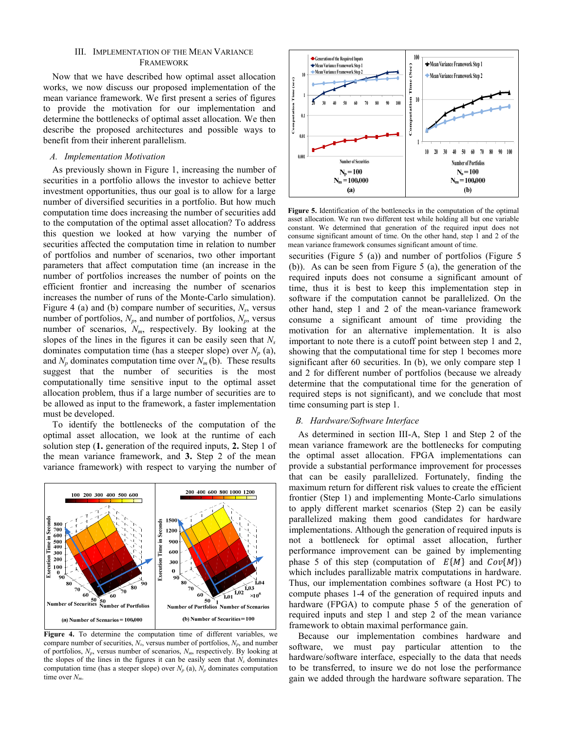#### III. IMPLEMENTATION OF THE MEAN VARIANCE FRAMEWORK

Now that we have described how optimal asset allocation works, we now discuss our proposed implementation of the mean variance framework. We first present a series of figures to provide the motivation for our implementation and determine the bottlenecks of optimal asset allocation. We then describe the proposed architectures and possible ways to benefit from their inherent parallelism.

#### *A. Implementation Motivation*

As previously shown in Figure 1, increasing the number of securities in a portfolio allows the investor to achieve better investment opportunities, thus our goal is to allow for a large number of diversified securities in a portfolio. But how much computation time does increasing the number of securities add to the computation of the optimal asset allocation? To address this question we looked at how varying the number of securities affected the computation time in relation to number of portfolios and number of scenarios, two other important parameters that affect computation time (an increase in the number of portfolios increases the number of points on the efficient frontier and increasing the number of scenarios increases the number of runs of the Monte-Carlo simulation). Figure 4 (a) and (b) compare number of securities,  $N_s$ , versus number of portfolios,  $N_p$ , and number of portfolios,  $N_p$ , versus number of scenarios, *Nm*, respectively. By looking at the slopes of the lines in the figures it can be easily seen that *Ns* dominates computation time (has a steeper slope) over  $N_p$  (a), and  $N_p$  dominates computation time over  $N_m$  (b). These results suggest that the number of securities is the most computationally time sensitive input to the optimal asset allocation problem, thus if a large number of securities are to be allowed as input to the framework, a faster implementation must be developed.

To identify the bottlenecks of the computation of the optimal asset allocation, we look at the runtime of each solution step (**1.** generation of the required inputs, **2.** Step 1 of the mean variance framework, and **3.** Step 2 of the mean variance framework) with respect to varying the number of



**Figure 4.** To determine the computation time of different variables, we compare number of securities,  $N_s$ , versus number of portfolios,  $N_p$ , and number of portfolios, *Np*, versus number of scenarios, *Nm*, respectively. By looking at the slopes of the lines in the figures it can be easily seen that  $N_s$  dominates computation time (has a steeper slope) over  $N_p$  (a),  $N_p$  dominates computation time over *Nm*.



**Figure 5.** Identification of the bottlenecks in the computation of the optimal asset allocation. We run two different test while holding all but one variable constant. We determined that generation of the required input does not consume significant amount of time. On the other hand, step 1 and 2 of the mean variance framework consumes significant amount of time.

securities (Figure 5 (a)) and number of portfolios (Figure 5 (b)). As can be seen from Figure 5 (a), the generation of the required inputs does not consume a significant amount of time, thus it is best to keep this implementation step in software if the computation cannot be parallelized. On the other hand, step 1 and 2 of the mean-variance framework consume a significant amount of time providing the motivation for an alternative implementation. It is also important to note there is a cutoff point between step 1 and 2, showing that the computational time for step 1 becomes more significant after 60 securities. In (b), we only compare step 1 and 2 for different number of portfolios (because we already determine that the computational time for the generation of required steps is not significant), and we conclude that most time consuming part is step 1.

#### *B. Hardware/Software Interface*

As determined in section III-A, Step 1 and Step 2 of the mean variance framework are the bottlenecks for computing the optimal asset allocation. FPGA implementations can provide a substantial performance improvement for processes that can be easily parallelized. Fortunately, finding the maximum return for different risk values to create the efficient frontier (Step 1) and implementing Monte-Carlo simulations to apply different market scenarios (Step 2) can be easily parallelized making them good candidates for hardware implementations. Although the generation of required inputs is not a bottleneck for optimal asset allocation, further performance improvement can be gained by implementing phase 5 of this step (computation of  $E\{M\}$  and  $Cov\{M\}$ ) which includes parallizable matrix computations in hardware. Thus, our implementation combines software (a Host PC) to compute phases 1-4 of the generation of required inputs and hardware (FPGA) to compute phase 5 of the generation of required inputs and step 1 and step 2 of the mean variance framework to obtain maximal performance gain.

Because our implementation combines hardware and software, we must pay particular attention to the hardware/software interface, especially to the data that needs to be transferred, to insure we do not lose the performance gain we added through the hardware software separation. The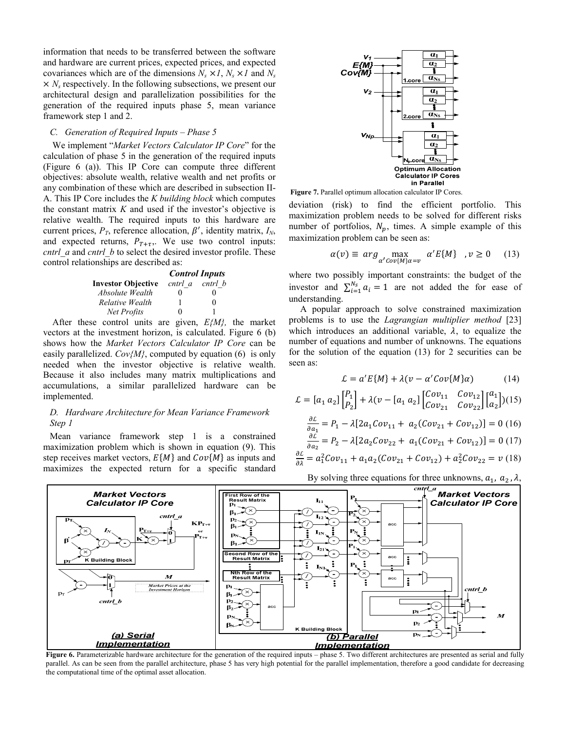information that needs to be transferred between the software and hardware are current prices, expected prices, and expected covariances which are of the dimensions  $N_s \times I$ ,  $N_s \times I$  and  $N_s$  $\times N_s$  respectively. In the following subsections, we present our architectural design and parallelization possibilities for the generation of the required inputs phase 5, mean variance framework step 1 and 2.

# *C. Generation of Required Inputs – Phase 5*

We implement "*Market Vectors Calculator IP Core*" for the calculation of phase 5 in the generation of the required inputs (Figure 6 (a)). This IP Core can compute three different objectives: absolute wealth, relative wealth and net profits or any combination of these which are described in subsection II-A. This IP Core includes the *K building block* which computes the constant matrix *K* and used if the investor's objective is relative wealth. The required inputs to this hardware are current prices,  $P_T$ , reference allocation,  $\beta'$ , identity matrix,  $I_N$ , and expected returns,  $P_{T+\tau}$ . We use two control inputs: *cntrl\_a* and *cntrl\_b* to select the desired investor profile. These control relationships are described as:

|                           | <b>Control Inputs</b> |                 |  |
|---------------------------|-----------------------|-----------------|--|
| <b>Investor Objective</b> |                       | cntrl a cntrl b |  |
| Absolute Wealth           | 0                     |                 |  |
| Relative Wealth           |                       | $\mathbf{0}$    |  |
| Net Profits               | 0                     |                 |  |

After these control units are given, *E{M},* the market vectors at the investment horizon, is calculated. Figure 6 (b) shows how the *Market Vectors Calculator IP Core* can be easily parallelized.  $Cov\{M\}$ , computed by equation (6) is only needed when the investor objective is relative wealth. Because it also includes many matrix multiplications and accumulations, a similar parallelized hardware can be implemented.

### *D. Hardware Architecture for Mean Variance Framework Step 1*

Mean variance framework step 1 is a constrained maximization problem which is shown in equation (9). This step receives market vectors,  $E\{M\}$  and  $Cov\{M\}$  as inputs and maximizes the expected return for a specific standard



**Figure 7.** Parallel optimum allocation calculator IP Cores.

deviation (risk) to find the efficient portfolio. This maximization problem needs to be solved for different risks number of portfolios,  $N_p$ , times. A simple example of this maximization problem can be seen as:

$$
\alpha(v) \equiv \arg \max_{\alpha' \text{Cov}\{M\} \alpha = v} \alpha' E\{M\} \quad, v \ge 0 \quad (13)
$$

where two possibly important constraints: the budget of the investor and  $\sum_{i=1}^{N_s} a_i = 1$  are not added the for ease of understanding.

 A popular approach to solve constrained maximization problems is to use the *Lagrangian multiplier method* [23] which introduces an additional variable,  $\lambda$ , to equalize the number of equations and number of unknowns. The equations for the solution of the equation (13) for 2 securities can be seen as:

$$
\mathcal{L} = a'E\{M\} + \lambda(\nu - \alpha' \text{Cov}\{M\}\alpha) \tag{14}
$$

$$
\mathcal{L} = [a_1 \ a_2] \begin{bmatrix} P_1 \\ P_2 \end{bmatrix} + \lambda (v - [a_1 \ a_2] \begin{bmatrix} Cov_{11} & Cov_{12} \\ Cov_{21} & Cov_{22} \end{bmatrix} \begin{bmatrix} a_1 \\ a_2 \end{bmatrix}) (15)
$$

$$
\frac{\partial \mathcal{L}}{\partial a_1} = P_1 - \lambda [2a_1 Cov_{11} + a_2 (Cov_{21} + Cov_{12})] = 0 (16)
$$

$$
\frac{\partial \mathcal{L}}{\partial a_2} = P_2 - \lambda [2a_2 Cov_{22} + a_1 (Cov_{21} + Cov_{12})] = 0 (17)
$$

$$
\frac{\partial \mathcal{L}}{\partial \lambda} = a_1^2 Cov_{11} + a_1 a_2 (Cov_{21} + Cov_{12}) + a_2^2 Cov_{22} = v (18)
$$

By solving three equations for three unknowns,  $a_1$ ,  $a_2$ ,  $\lambda$ ,



Figure 6. Parameterizable hardware architecture for the generation of the required inputs – phase 5. Two different architectures are presented as serial and fully parallel. As can be seen from the parallel architecture, phase 5 has very high potential for the parallel implementation, therefore a good candidate for decreasing the computational time of the optimal asset allocation.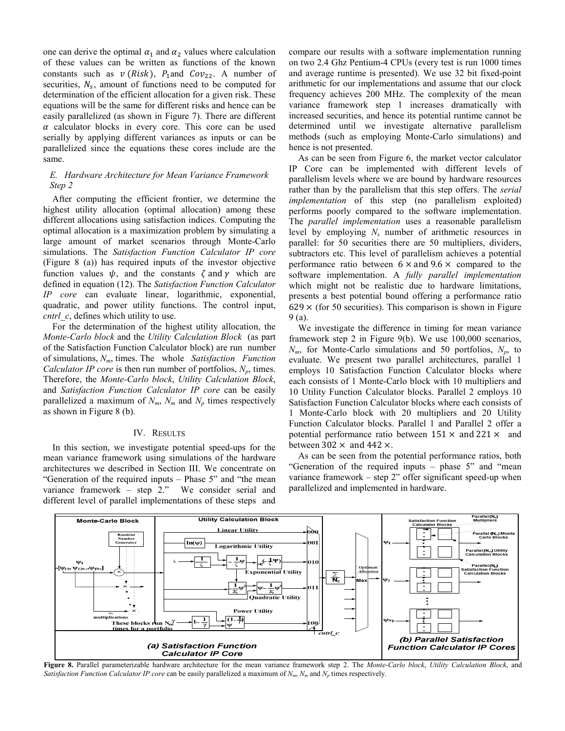one can derive the optimal  $\alpha_1$  and  $\alpha_2$  values where calculation of these values can be written as functions of the known constants such as  $v$  (*Risk*),  $P_1$  and  $Cov_{22}$ . A number of securities,  $N_s$ , amount of functions need to be computed for determination of the efficient allocation for a given risk. These equations will be the same for different risks and hence can be easily parallelized (as shown in Figure 7). There are different  $\alpha$  calculator blocks in every core. This core can be used serially by applying different variances as inputs or can be parallelized since the equations these cores include are the same.

## *E. Hardware Architecture for Mean Variance Framework Step 2*

After computing the efficient frontier, we determine the highest utility allocation (optimal allocation) among these different allocations using satisfaction indices. Computing the optimal allocation is a maximization problem by simulating a large amount of market scenarios through Monte-Carlo simulations. The *Satisfaction Function Calculator IP core* (Figure 8 (a)) has required inputs of the investor objective function values  $\psi$ , and the constants  $\zeta$  and  $\gamma$  which are defined in equation (12). The *Satisfaction Function Calculator IP core* can evaluate linear, logarithmic, exponential, quadratic, and power utility functions. The control input, *cntrl\_c*, defines which utility to use.

For the determination of the highest utility allocation, the *Monte-Carlo block* and the *Utility Calculation Block* (as part of the Satisfaction Function Calculator block) are run number of simulations, *Nm*, times. The whole *Satisfaction Function Calculator IP core* is then run number of portfolios,  $N_p$ , times. Therefore, the *Monte-Carlo block*, *Utility Calculation Block*, and *Satisfaction Function Calculator IP core* can be easily parallelized a maximum of  $N_m$ ,  $N_m$  and  $N_p$  times respectively as shown in Figure 8 (b).

#### IV. RESULTS

In this section, we investigate potential speed-ups for the mean variance framework using simulations of the hardware architectures we described in Section III. We concentrate on "Generation of the required inputs – Phase 5" and "the mean variance framework – step 2." We consider serial and different level of parallel implementations of these steps and compare our results with a software implementation running on two 2.4 Ghz Pentium-4 CPUs (every test is run 1000 times and average runtime is presented). We use 32 bit fixed-point arithmetic for our implementations and assume that our clock frequency achieves 200 MHz. The complexity of the mean variance framework step 1 increases dramatically with increased securities, and hence its potential runtime cannot be determined until we investigate alternative parallelism methods (such as employing Monte-Carlo simulations) and hence is not presented.

As can be seen from Figure 6, the market vector calculator IP Core can be implemented with different levels of parallelism levels where we are bound by hardware resources rather than by the parallelism that this step offers. The *serial implementation* of this step (no parallelism exploited) performs poorly compared to the software implementation. The *parallel implementation* uses a reasonable parallelism level by employing *Ns* number of arithmetic resources in parallel: for 50 securities there are 50 multipliers, dividers, subtractors etc. This level of parallelism achieves a potential performance ratio between  $6 \times$  and  $9.6 \times$  compared to the software implementation. A *fully parallel implementation* which might not be realistic due to hardware limitations, presents a best potential bound offering a performance ratio  $629 \times$  (for 50 securities). This comparison is shown in Figure 9 (a).

We investigate the difference in timing for mean variance framework step 2 in Figure 9(b). We use 100,000 scenarios,  $N_m$ , for Monte-Carlo simulations and 50 portfolios,  $N_p$ , to evaluate. We present two parallel architectures, parallel 1 employs 10 Satisfaction Function Calculator blocks where each consists of 1 Monte-Carlo block with 10 multipliers and 10 Utility Function Calculator blocks. Parallel 2 employs 10 Satisfaction Function Calculator blocks where each consists of 1 Monte-Carlo block with 20 multipliers and 20 Utility Function Calculator blocks. Parallel 1 and Parallel 2 offer a potential performance ratio between  $151 \times$  and  $221 \times$  and between  $302 \times$  and  $442 \times$ .

As can be seen from the potential performance ratios, both "Generation of the required inputs – phase 5" and "mean variance framework – step 2" offer significant speed-up when parallelized and implemented in hardware.



**Figure 8.** Parallel parameterizable hardware architecture for the mean variance framework step 2. The *Monte-Carlo block*, *Utility Calculation Block*, and *Satisfaction Function Calculator IP core* can be easily parallelized a maximum of *Nm*, *Nm* and *Np* times respectively.